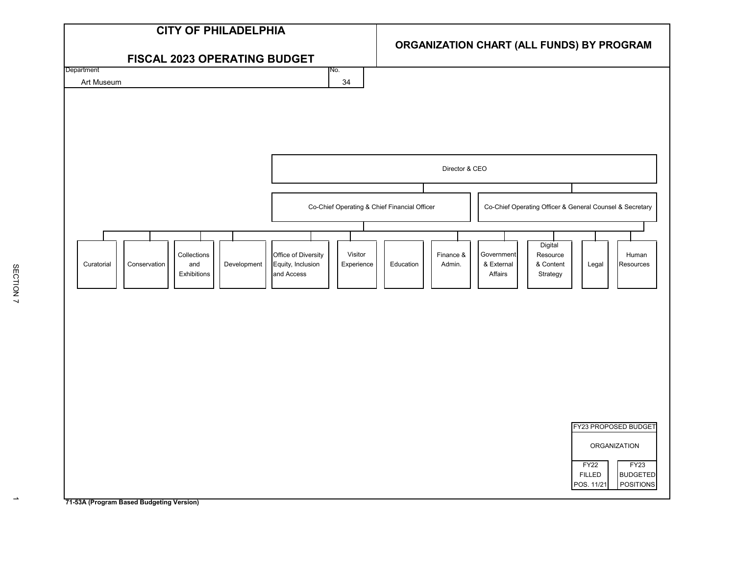

 $\rightarrow$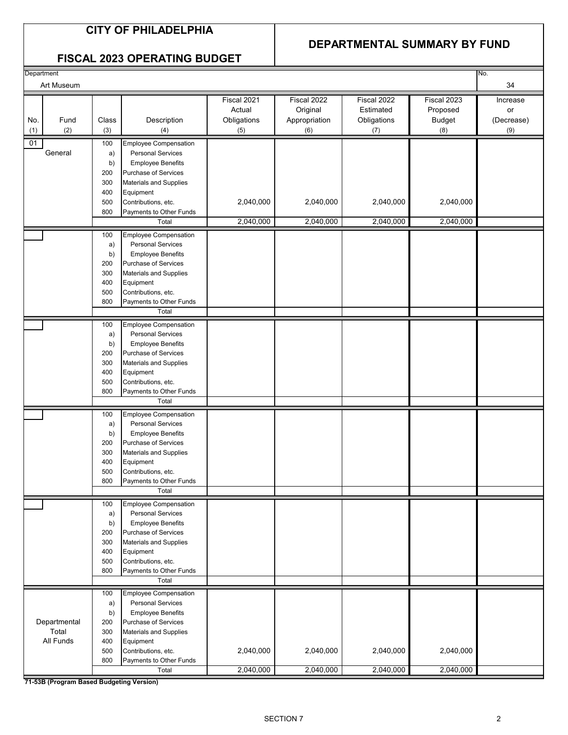#### **DEPARTMENTAL SUMMARY BY FUND**

#### **FISCAL 2023 OPERATING BUDGET**

| Department<br>No.         |              |                                                          |                                             |                                                 |                                                |                                                 |                                     |
|---------------------------|--------------|----------------------------------------------------------|---------------------------------------------|-------------------------------------------------|------------------------------------------------|-------------------------------------------------|-------------------------------------|
| Art Museum                |              |                                                          |                                             |                                                 |                                                |                                                 |                                     |
| Fund<br>No.<br>(2)<br>(1) | Class<br>(3) | Description<br>(4)                                       | Fiscal 2021<br>Actual<br>Obligations<br>(5) | Fiscal 2022<br>Original<br>Appropriation<br>(6) | Fiscal 2022<br>Estimated<br>Obligations<br>(7) | Fiscal 2023<br>Proposed<br><b>Budget</b><br>(8) | Increase<br>or<br>(Decrease)<br>(9) |
| 01                        | 100          | <b>Employee Compensation</b>                             |                                             |                                                 |                                                |                                                 |                                     |
| General                   | a)           | <b>Personal Services</b>                                 |                                             |                                                 |                                                |                                                 |                                     |
|                           | b)           | <b>Employee Benefits</b>                                 |                                             |                                                 |                                                |                                                 |                                     |
|                           | 200          | Purchase of Services                                     |                                             |                                                 |                                                |                                                 |                                     |
|                           | 300          | Materials and Supplies                                   |                                             |                                                 |                                                |                                                 |                                     |
|                           | 400          | Equipment                                                |                                             |                                                 |                                                |                                                 |                                     |
|                           | 500          | Contributions, etc.                                      | 2,040,000                                   | 2,040,000                                       | 2,040,000                                      | 2,040,000                                       |                                     |
|                           | 800          | Payments to Other Funds<br>Total                         | 2,040,000                                   | 2,040,000                                       | 2,040,000                                      | 2,040,000                                       |                                     |
|                           |              | <b>Employee Compensation</b>                             |                                             |                                                 |                                                |                                                 |                                     |
|                           | 100<br>a)    | <b>Personal Services</b>                                 |                                             |                                                 |                                                |                                                 |                                     |
|                           | b)           | <b>Employee Benefits</b>                                 |                                             |                                                 |                                                |                                                 |                                     |
|                           | 200          | Purchase of Services                                     |                                             |                                                 |                                                |                                                 |                                     |
|                           | 300          | Materials and Supplies                                   |                                             |                                                 |                                                |                                                 |                                     |
|                           | 400          | Equipment                                                |                                             |                                                 |                                                |                                                 |                                     |
|                           | 500<br>800   | Contributions, etc.<br>Payments to Other Funds           |                                             |                                                 |                                                |                                                 |                                     |
|                           |              | Total                                                    |                                             |                                                 |                                                |                                                 |                                     |
|                           | 100          | <b>Employee Compensation</b>                             |                                             |                                                 |                                                |                                                 |                                     |
|                           | a)           | <b>Personal Services</b>                                 |                                             |                                                 |                                                |                                                 |                                     |
|                           | b)           | <b>Employee Benefits</b>                                 |                                             |                                                 |                                                |                                                 |                                     |
|                           | 200          | Purchase of Services                                     |                                             |                                                 |                                                |                                                 |                                     |
|                           | 300          | Materials and Supplies                                   |                                             |                                                 |                                                |                                                 |                                     |
|                           | 400<br>500   | Equipment<br>Contributions, etc.                         |                                             |                                                 |                                                |                                                 |                                     |
|                           | 800          | Payments to Other Funds                                  |                                             |                                                 |                                                |                                                 |                                     |
|                           |              | Total                                                    |                                             |                                                 |                                                |                                                 |                                     |
|                           | 100          | <b>Employee Compensation</b>                             |                                             |                                                 |                                                |                                                 |                                     |
|                           | a)           | <b>Personal Services</b>                                 |                                             |                                                 |                                                |                                                 |                                     |
|                           | b)<br>200    | <b>Employee Benefits</b><br>Purchase of Services         |                                             |                                                 |                                                |                                                 |                                     |
|                           | 300          | Materials and Supplies                                   |                                             |                                                 |                                                |                                                 |                                     |
|                           | 400          | Equipment                                                |                                             |                                                 |                                                |                                                 |                                     |
|                           | 500          | Contributions, etc.                                      |                                             |                                                 |                                                |                                                 |                                     |
|                           | 800          | Payments to Other Funds                                  |                                             |                                                 |                                                |                                                 |                                     |
|                           |              | Total                                                    |                                             |                                                 |                                                |                                                 |                                     |
|                           | 100          | <b>Employee Compensation</b><br><b>Personal Services</b> |                                             |                                                 |                                                |                                                 |                                     |
|                           | a)<br>b)     | <b>Employee Benefits</b>                                 |                                             |                                                 |                                                |                                                 |                                     |
|                           | 200          | Purchase of Services                                     |                                             |                                                 |                                                |                                                 |                                     |
|                           | 300          | Materials and Supplies                                   |                                             |                                                 |                                                |                                                 |                                     |
|                           | 400          | Equipment                                                |                                             |                                                 |                                                |                                                 |                                     |
|                           | 500          | Contributions, etc.                                      |                                             |                                                 |                                                |                                                 |                                     |
|                           | 800          | Payments to Other Funds<br>Total                         |                                             |                                                 |                                                |                                                 |                                     |
|                           | 100          | <b>Employee Compensation</b>                             |                                             |                                                 |                                                |                                                 |                                     |
|                           | a)           | <b>Personal Services</b>                                 |                                             |                                                 |                                                |                                                 |                                     |
|                           | b)           | <b>Employee Benefits</b>                                 |                                             |                                                 |                                                |                                                 |                                     |
| Departmental              | 200          | Purchase of Services                                     |                                             |                                                 |                                                |                                                 |                                     |
| Total                     | 300          | Materials and Supplies                                   |                                             |                                                 |                                                |                                                 |                                     |
| All Funds                 | 400<br>500   | Equipment<br>Contributions, etc.                         | 2,040,000                                   | 2,040,000                                       | 2,040,000                                      | 2,040,000                                       |                                     |
|                           | 800          | Payments to Other Funds                                  |                                             |                                                 |                                                |                                                 |                                     |
|                           |              | Total                                                    | 2,040,000                                   | 2,040,000                                       | 2,040,000                                      | 2,040,000                                       |                                     |

**71-53B (Program Based Budgeting Version)**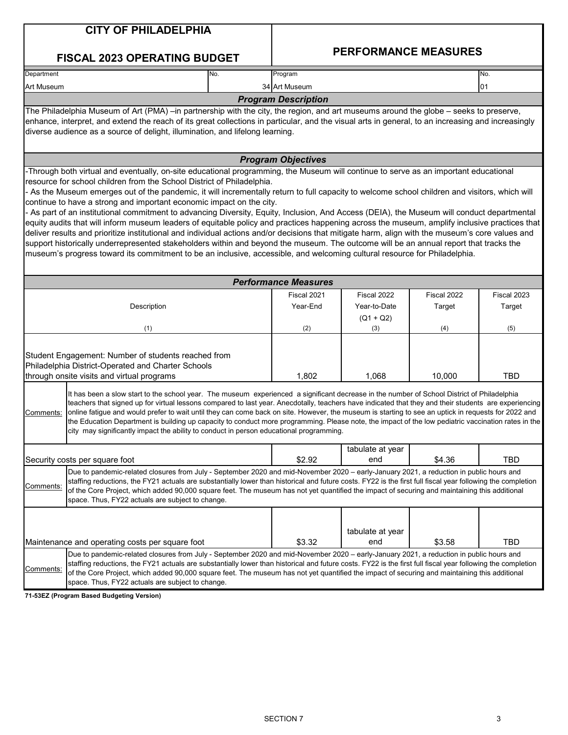| <b>CITY OF PHILADELPHIA</b>                                                                                                                                                                                                                                                                                                                                                                                                                                                                                              |                                                                                                                                                                                                                                                                                                                                                                                                                                                                                                                                                                                                                                                                                                                                                                                                                                                                                                                                                                                                                                                                                                                                                                    |  |                             |                                            |                       |                       |  |  |
|--------------------------------------------------------------------------------------------------------------------------------------------------------------------------------------------------------------------------------------------------------------------------------------------------------------------------------------------------------------------------------------------------------------------------------------------------------------------------------------------------------------------------|--------------------------------------------------------------------------------------------------------------------------------------------------------------------------------------------------------------------------------------------------------------------------------------------------------------------------------------------------------------------------------------------------------------------------------------------------------------------------------------------------------------------------------------------------------------------------------------------------------------------------------------------------------------------------------------------------------------------------------------------------------------------------------------------------------------------------------------------------------------------------------------------------------------------------------------------------------------------------------------------------------------------------------------------------------------------------------------------------------------------------------------------------------------------|--|-----------------------------|--------------------------------------------|-----------------------|-----------------------|--|--|
|                                                                                                                                                                                                                                                                                                                                                                                                                                                                                                                          | <b>FISCAL 2023 OPERATING BUDGET</b>                                                                                                                                                                                                                                                                                                                                                                                                                                                                                                                                                                                                                                                                                                                                                                                                                                                                                                                                                                                                                                                                                                                                |  | <b>PERFORMANCE MEASURES</b> |                                            |                       |                       |  |  |
| Department                                                                                                                                                                                                                                                                                                                                                                                                                                                                                                               | No.                                                                                                                                                                                                                                                                                                                                                                                                                                                                                                                                                                                                                                                                                                                                                                                                                                                                                                                                                                                                                                                                                                                                                                |  | Program                     |                                            |                       | No.                   |  |  |
| Art Museum                                                                                                                                                                                                                                                                                                                                                                                                                                                                                                               |                                                                                                                                                                                                                                                                                                                                                                                                                                                                                                                                                                                                                                                                                                                                                                                                                                                                                                                                                                                                                                                                                                                                                                    |  | 34 Art Museum               |                                            |                       | 01                    |  |  |
|                                                                                                                                                                                                                                                                                                                                                                                                                                                                                                                          |                                                                                                                                                                                                                                                                                                                                                                                                                                                                                                                                                                                                                                                                                                                                                                                                                                                                                                                                                                                                                                                                                                                                                                    |  | <b>Program Description</b>  |                                            |                       |                       |  |  |
|                                                                                                                                                                                                                                                                                                                                                                                                                                                                                                                          | The Philadelphia Museum of Art (PMA) –in partnership with the city, the region, and art museums around the globe – seeks to preserve,<br>enhance, interpret, and extend the reach of its great collections in particular, and the visual arts in general, to an increasing and increasingly<br>diverse audience as a source of delight, illumination, and lifelong learning.                                                                                                                                                                                                                                                                                                                                                                                                                                                                                                                                                                                                                                                                                                                                                                                       |  |                             |                                            |                       |                       |  |  |
|                                                                                                                                                                                                                                                                                                                                                                                                                                                                                                                          |                                                                                                                                                                                                                                                                                                                                                                                                                                                                                                                                                                                                                                                                                                                                                                                                                                                                                                                                                                                                                                                                                                                                                                    |  | <b>Program Objectives</b>   |                                            |                       |                       |  |  |
|                                                                                                                                                                                                                                                                                                                                                                                                                                                                                                                          | -Through both virtual and eventually, on-site educational programming, the Museum will continue to serve as an important educational<br>resource for school children from the School District of Philadelphia.<br>- As the Museum emerges out of the pandemic, it will incrementally return to full capacity to welcome school children and visitors, which will<br>continue to have a strong and important economic impact on the city.<br>- As part of an institutional commitment to advancing Diversity, Equity, Inclusion, And Access (DEIA), the Museum will conduct departmental<br>equity audits that will inform museum leaders of equitable policy and practices happening across the museum, amplify inclusive practices that<br>deliver results and prioritize institutional and individual actions and/or decisions that mitigate harm, align with the museum's core values and<br>support historically underrepresented stakeholders within and beyond the museum. The outcome will be an annual report that tracks the<br>museum's progress toward its commitment to be an inclusive, accessible, and welcoming cultural resource for Philadelphia. |  |                             |                                            |                       |                       |  |  |
|                                                                                                                                                                                                                                                                                                                                                                                                                                                                                                                          |                                                                                                                                                                                                                                                                                                                                                                                                                                                                                                                                                                                                                                                                                                                                                                                                                                                                                                                                                                                                                                                                                                                                                                    |  | <b>Performance Measures</b> |                                            |                       |                       |  |  |
|                                                                                                                                                                                                                                                                                                                                                                                                                                                                                                                          | Description                                                                                                                                                                                                                                                                                                                                                                                                                                                                                                                                                                                                                                                                                                                                                                                                                                                                                                                                                                                                                                                                                                                                                        |  | Fiscal 2021<br>Year-End     | Fiscal 2022<br>Year-to-Date<br>$(Q1 + Q2)$ | Fiscal 2022<br>Target | Fiscal 2023<br>Target |  |  |
|                                                                                                                                                                                                                                                                                                                                                                                                                                                                                                                          | (1)                                                                                                                                                                                                                                                                                                                                                                                                                                                                                                                                                                                                                                                                                                                                                                                                                                                                                                                                                                                                                                                                                                                                                                |  | (2)                         | (3)                                        | (4)                   | (5)                   |  |  |
|                                                                                                                                                                                                                                                                                                                                                                                                                                                                                                                          | Student Engagement: Number of students reached from<br>Philadelphia District-Operated and Charter Schools<br>through onsite visits and virtual programs                                                                                                                                                                                                                                                                                                                                                                                                                                                                                                                                                                                                                                                                                                                                                                                                                                                                                                                                                                                                            |  | 1,802                       | 1,068                                      | 10,000                | <b>TBD</b>            |  |  |
| Comments:                                                                                                                                                                                                                                                                                                                                                                                                                                                                                                                | It has been a slow start to the school year. The museum experienced a significant decrease in the number of School District of Philadelphia<br>teachers that signed up for virtual lessons compared to last year. Anecdotally, teachers have indicated that they and their students are experiencing<br>online fatigue and would prefer to wait until they can come back on site. However, the museum is starting to see an uptick in requests for 2022 and<br>the Education Department is building up capacity to conduct more programming. Please note, the impact of the low pediatric vaccination rates in the<br>city may significantly impact the ability to conduct in person educational programming.                                                                                                                                                                                                                                                                                                                                                                                                                                                      |  |                             |                                            |                       |                       |  |  |
|                                                                                                                                                                                                                                                                                                                                                                                                                                                                                                                          | Security costs per square foot                                                                                                                                                                                                                                                                                                                                                                                                                                                                                                                                                                                                                                                                                                                                                                                                                                                                                                                                                                                                                                                                                                                                     |  | \$2.92                      | tabulate at year<br>end                    | \$4.36                | <b>TBD</b>            |  |  |
| Due to pandemic-related closures from July - September 2020 and mid-November 2020 - early-January 2021, a reduction in public hours and<br>staffing reductions, the FY21 actuals are substantially lower than historical and future costs. FY22 is the first full fiscal year following the completion<br>Comments:<br>of the Core Project, which added 90,000 square feet. The museum has not yet quantified the impact of securing and maintaining this additional<br>space. Thus, FY22 actuals are subject to change. |                                                                                                                                                                                                                                                                                                                                                                                                                                                                                                                                                                                                                                                                                                                                                                                                                                                                                                                                                                                                                                                                                                                                                                    |  |                             |                                            |                       |                       |  |  |
| Comments:                                                                                                                                                                                                                                                                                                                                                                                                                                                                                                                | Maintenance and operating costs per square foot<br>Due to pandemic-related closures from July - September 2020 and mid-November 2020 - early-January 2021, a reduction in public hours and<br>staffing reductions, the FY21 actuals are substantially lower than historical and future costs. FY22 is the first full fiscal year following the completion<br>of the Core Project, which added 90,000 square feet. The museum has not yet quantified the impact of securing and maintaining this additional                                                                                                                                                                                                                                                                                                                                                                                                                                                                                                                                                                                                                                                         |  | \$3.32                      | tabulate at year<br>end                    | \$3.58                | <b>TBD</b>            |  |  |
|                                                                                                                                                                                                                                                                                                                                                                                                                                                                                                                          | space. Thus, FY22 actuals are subject to change.                                                                                                                                                                                                                                                                                                                                                                                                                                                                                                                                                                                                                                                                                                                                                                                                                                                                                                                                                                                                                                                                                                                   |  |                             |                                            |                       |                       |  |  |

**71-53EZ (Program Based Budgeting Version)**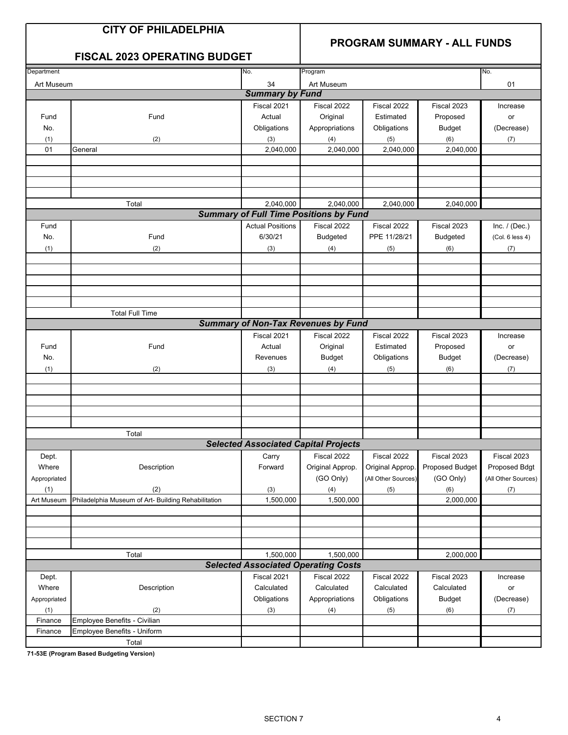#### **PROGRAM SUMMARY - ALL FUNDS**

|  | <b>FISCAL 2023 OPERATING BUDGET</b> |  |  |
|--|-------------------------------------|--|--|
|--|-------------------------------------|--|--|

| 34<br>Art Museum<br>Art Museum<br>01<br><b>Summary by Fund</b><br>Fiscal 2021<br>Fiscal 2023<br>Fiscal 2022<br>Fiscal 2022<br>Increase<br>Fund<br>Actual<br>Original<br>Estimated<br>Proposed<br>Fund<br>or<br>No.<br>Obligations<br>Appropriations<br>Obligations<br><b>Budget</b><br>(Decrease)<br>(1)<br>(2)<br>(6)<br>(3)<br>(4)<br>(5)<br>(7)<br>2,040,000<br>2,040,000<br>01<br>2,040,000<br>2,040,000<br>General<br>Total<br>2,040,000<br>2,040,000<br>2,040,000<br>2,040,000<br><b>Summary of Full Time Positions by Fund</b><br><b>Actual Positions</b><br>Fiscal 2022<br>Fiscal 2022<br>Fiscal 2023<br>Inc. $/$ (Dec.)<br>Fund<br>6/30/21<br>PPE 11/28/21<br>No.<br>Fund<br><b>Budgeted</b><br>(Col. 6 less 4)<br><b>Budgeted</b><br>(2)<br>(1)<br>(3)<br>(4)<br>(5)<br>(6)<br>(7)<br><b>Total Full Time</b><br><b>Summary of Non-Tax Revenues by Fund</b><br>Fiscal 2021<br>Fiscal 2022<br>Fiscal 2023<br>Fiscal 2022<br>Increase<br>Fund<br>Fund<br>Actual<br>Original<br>Estimated<br>Proposed<br>or<br><b>Budget</b><br>Obligations<br>No.<br>Revenues<br><b>Budget</b><br>(Decrease)<br>(1)<br>(3)<br>(2)<br>(4)<br>(6)<br>(7)<br>(5)<br>Total<br><b>Selected Associated Capital Projects</b><br>Fiscal 2022<br>Fiscal 2023<br>Fiscal 2022<br>Fiscal 2023<br>Dept.<br>Carry<br>Where<br>Description<br>Forward<br>Original Approp.<br>Original Approp.<br>Proposed Budget<br>Proposed Bdgt<br>(GO Only)<br>(GO Only)<br>(All Other Sources)<br>(All Other Sources)<br>Appropriated<br>(2)<br>(1)<br>(3)<br>(4)<br>(5)<br>(6)<br>(7)<br>1,500,000<br>1,500,000<br>2,000,000<br>Art Museum<br>Philadelphia Museum of Art- Building Rehabilitation<br>Total<br>1,500,000<br>1,500,000<br>2,000,000<br><b>Selected Associated Operating Costs</b><br>Fiscal 2021<br>Fiscal 2022<br>Fiscal 2022<br>Fiscal 2023<br>Increase<br>Dept.<br>Description<br>Calculated<br>Where<br>Calculated<br>Calculated<br>Calculated<br>$\mathsf{or}\,$<br>Appropriations<br>Obligations<br>Obligations<br><b>Budget</b><br>(Decrease)<br>Appropriated<br>(1)<br>(2)<br>(3)<br>(4)<br>(5)<br>(6)<br>(7)<br>Employee Benefits - Civilian<br>Finance<br>Employee Benefits - Uniform<br>Finance | Department | No. | Program |  | No. |
|---------------------------------------------------------------------------------------------------------------------------------------------------------------------------------------------------------------------------------------------------------------------------------------------------------------------------------------------------------------------------------------------------------------------------------------------------------------------------------------------------------------------------------------------------------------------------------------------------------------------------------------------------------------------------------------------------------------------------------------------------------------------------------------------------------------------------------------------------------------------------------------------------------------------------------------------------------------------------------------------------------------------------------------------------------------------------------------------------------------------------------------------------------------------------------------------------------------------------------------------------------------------------------------------------------------------------------------------------------------------------------------------------------------------------------------------------------------------------------------------------------------------------------------------------------------------------------------------------------------------------------------------------------------------------------------------------------------------------------------------------------------------------------------------------------------------------------------------------------------------------------------------------------------------------------------------------------------------------------------------------------------------------------------------------------------------------------------------------------------------------------------------------------------------------------------|------------|-----|---------|--|-----|
|                                                                                                                                                                                                                                                                                                                                                                                                                                                                                                                                                                                                                                                                                                                                                                                                                                                                                                                                                                                                                                                                                                                                                                                                                                                                                                                                                                                                                                                                                                                                                                                                                                                                                                                                                                                                                                                                                                                                                                                                                                                                                                                                                                                       |            |     |         |  |     |
|                                                                                                                                                                                                                                                                                                                                                                                                                                                                                                                                                                                                                                                                                                                                                                                                                                                                                                                                                                                                                                                                                                                                                                                                                                                                                                                                                                                                                                                                                                                                                                                                                                                                                                                                                                                                                                                                                                                                                                                                                                                                                                                                                                                       |            |     |         |  |     |
|                                                                                                                                                                                                                                                                                                                                                                                                                                                                                                                                                                                                                                                                                                                                                                                                                                                                                                                                                                                                                                                                                                                                                                                                                                                                                                                                                                                                                                                                                                                                                                                                                                                                                                                                                                                                                                                                                                                                                                                                                                                                                                                                                                                       |            |     |         |  |     |
|                                                                                                                                                                                                                                                                                                                                                                                                                                                                                                                                                                                                                                                                                                                                                                                                                                                                                                                                                                                                                                                                                                                                                                                                                                                                                                                                                                                                                                                                                                                                                                                                                                                                                                                                                                                                                                                                                                                                                                                                                                                                                                                                                                                       |            |     |         |  |     |
|                                                                                                                                                                                                                                                                                                                                                                                                                                                                                                                                                                                                                                                                                                                                                                                                                                                                                                                                                                                                                                                                                                                                                                                                                                                                                                                                                                                                                                                                                                                                                                                                                                                                                                                                                                                                                                                                                                                                                                                                                                                                                                                                                                                       |            |     |         |  |     |
|                                                                                                                                                                                                                                                                                                                                                                                                                                                                                                                                                                                                                                                                                                                                                                                                                                                                                                                                                                                                                                                                                                                                                                                                                                                                                                                                                                                                                                                                                                                                                                                                                                                                                                                                                                                                                                                                                                                                                                                                                                                                                                                                                                                       |            |     |         |  |     |
|                                                                                                                                                                                                                                                                                                                                                                                                                                                                                                                                                                                                                                                                                                                                                                                                                                                                                                                                                                                                                                                                                                                                                                                                                                                                                                                                                                                                                                                                                                                                                                                                                                                                                                                                                                                                                                                                                                                                                                                                                                                                                                                                                                                       |            |     |         |  |     |
|                                                                                                                                                                                                                                                                                                                                                                                                                                                                                                                                                                                                                                                                                                                                                                                                                                                                                                                                                                                                                                                                                                                                                                                                                                                                                                                                                                                                                                                                                                                                                                                                                                                                                                                                                                                                                                                                                                                                                                                                                                                                                                                                                                                       |            |     |         |  |     |
|                                                                                                                                                                                                                                                                                                                                                                                                                                                                                                                                                                                                                                                                                                                                                                                                                                                                                                                                                                                                                                                                                                                                                                                                                                                                                                                                                                                                                                                                                                                                                                                                                                                                                                                                                                                                                                                                                                                                                                                                                                                                                                                                                                                       |            |     |         |  |     |
|                                                                                                                                                                                                                                                                                                                                                                                                                                                                                                                                                                                                                                                                                                                                                                                                                                                                                                                                                                                                                                                                                                                                                                                                                                                                                                                                                                                                                                                                                                                                                                                                                                                                                                                                                                                                                                                                                                                                                                                                                                                                                                                                                                                       |            |     |         |  |     |
|                                                                                                                                                                                                                                                                                                                                                                                                                                                                                                                                                                                                                                                                                                                                                                                                                                                                                                                                                                                                                                                                                                                                                                                                                                                                                                                                                                                                                                                                                                                                                                                                                                                                                                                                                                                                                                                                                                                                                                                                                                                                                                                                                                                       |            |     |         |  |     |
|                                                                                                                                                                                                                                                                                                                                                                                                                                                                                                                                                                                                                                                                                                                                                                                                                                                                                                                                                                                                                                                                                                                                                                                                                                                                                                                                                                                                                                                                                                                                                                                                                                                                                                                                                                                                                                                                                                                                                                                                                                                                                                                                                                                       |            |     |         |  |     |
|                                                                                                                                                                                                                                                                                                                                                                                                                                                                                                                                                                                                                                                                                                                                                                                                                                                                                                                                                                                                                                                                                                                                                                                                                                                                                                                                                                                                                                                                                                                                                                                                                                                                                                                                                                                                                                                                                                                                                                                                                                                                                                                                                                                       |            |     |         |  |     |
|                                                                                                                                                                                                                                                                                                                                                                                                                                                                                                                                                                                                                                                                                                                                                                                                                                                                                                                                                                                                                                                                                                                                                                                                                                                                                                                                                                                                                                                                                                                                                                                                                                                                                                                                                                                                                                                                                                                                                                                                                                                                                                                                                                                       |            |     |         |  |     |
|                                                                                                                                                                                                                                                                                                                                                                                                                                                                                                                                                                                                                                                                                                                                                                                                                                                                                                                                                                                                                                                                                                                                                                                                                                                                                                                                                                                                                                                                                                                                                                                                                                                                                                                                                                                                                                                                                                                                                                                                                                                                                                                                                                                       |            |     |         |  |     |
|                                                                                                                                                                                                                                                                                                                                                                                                                                                                                                                                                                                                                                                                                                                                                                                                                                                                                                                                                                                                                                                                                                                                                                                                                                                                                                                                                                                                                                                                                                                                                                                                                                                                                                                                                                                                                                                                                                                                                                                                                                                                                                                                                                                       |            |     |         |  |     |
|                                                                                                                                                                                                                                                                                                                                                                                                                                                                                                                                                                                                                                                                                                                                                                                                                                                                                                                                                                                                                                                                                                                                                                                                                                                                                                                                                                                                                                                                                                                                                                                                                                                                                                                                                                                                                                                                                                                                                                                                                                                                                                                                                                                       |            |     |         |  |     |
|                                                                                                                                                                                                                                                                                                                                                                                                                                                                                                                                                                                                                                                                                                                                                                                                                                                                                                                                                                                                                                                                                                                                                                                                                                                                                                                                                                                                                                                                                                                                                                                                                                                                                                                                                                                                                                                                                                                                                                                                                                                                                                                                                                                       |            |     |         |  |     |
|                                                                                                                                                                                                                                                                                                                                                                                                                                                                                                                                                                                                                                                                                                                                                                                                                                                                                                                                                                                                                                                                                                                                                                                                                                                                                                                                                                                                                                                                                                                                                                                                                                                                                                                                                                                                                                                                                                                                                                                                                                                                                                                                                                                       |            |     |         |  |     |
|                                                                                                                                                                                                                                                                                                                                                                                                                                                                                                                                                                                                                                                                                                                                                                                                                                                                                                                                                                                                                                                                                                                                                                                                                                                                                                                                                                                                                                                                                                                                                                                                                                                                                                                                                                                                                                                                                                                                                                                                                                                                                                                                                                                       |            |     |         |  |     |
|                                                                                                                                                                                                                                                                                                                                                                                                                                                                                                                                                                                                                                                                                                                                                                                                                                                                                                                                                                                                                                                                                                                                                                                                                                                                                                                                                                                                                                                                                                                                                                                                                                                                                                                                                                                                                                                                                                                                                                                                                                                                                                                                                                                       |            |     |         |  |     |
|                                                                                                                                                                                                                                                                                                                                                                                                                                                                                                                                                                                                                                                                                                                                                                                                                                                                                                                                                                                                                                                                                                                                                                                                                                                                                                                                                                                                                                                                                                                                                                                                                                                                                                                                                                                                                                                                                                                                                                                                                                                                                                                                                                                       |            |     |         |  |     |
|                                                                                                                                                                                                                                                                                                                                                                                                                                                                                                                                                                                                                                                                                                                                                                                                                                                                                                                                                                                                                                                                                                                                                                                                                                                                                                                                                                                                                                                                                                                                                                                                                                                                                                                                                                                                                                                                                                                                                                                                                                                                                                                                                                                       |            |     |         |  |     |
|                                                                                                                                                                                                                                                                                                                                                                                                                                                                                                                                                                                                                                                                                                                                                                                                                                                                                                                                                                                                                                                                                                                                                                                                                                                                                                                                                                                                                                                                                                                                                                                                                                                                                                                                                                                                                                                                                                                                                                                                                                                                                                                                                                                       |            |     |         |  |     |
|                                                                                                                                                                                                                                                                                                                                                                                                                                                                                                                                                                                                                                                                                                                                                                                                                                                                                                                                                                                                                                                                                                                                                                                                                                                                                                                                                                                                                                                                                                                                                                                                                                                                                                                                                                                                                                                                                                                                                                                                                                                                                                                                                                                       |            |     |         |  |     |
|                                                                                                                                                                                                                                                                                                                                                                                                                                                                                                                                                                                                                                                                                                                                                                                                                                                                                                                                                                                                                                                                                                                                                                                                                                                                                                                                                                                                                                                                                                                                                                                                                                                                                                                                                                                                                                                                                                                                                                                                                                                                                                                                                                                       |            |     |         |  |     |
|                                                                                                                                                                                                                                                                                                                                                                                                                                                                                                                                                                                                                                                                                                                                                                                                                                                                                                                                                                                                                                                                                                                                                                                                                                                                                                                                                                                                                                                                                                                                                                                                                                                                                                                                                                                                                                                                                                                                                                                                                                                                                                                                                                                       |            |     |         |  |     |
|                                                                                                                                                                                                                                                                                                                                                                                                                                                                                                                                                                                                                                                                                                                                                                                                                                                                                                                                                                                                                                                                                                                                                                                                                                                                                                                                                                                                                                                                                                                                                                                                                                                                                                                                                                                                                                                                                                                                                                                                                                                                                                                                                                                       |            |     |         |  |     |
|                                                                                                                                                                                                                                                                                                                                                                                                                                                                                                                                                                                                                                                                                                                                                                                                                                                                                                                                                                                                                                                                                                                                                                                                                                                                                                                                                                                                                                                                                                                                                                                                                                                                                                                                                                                                                                                                                                                                                                                                                                                                                                                                                                                       |            |     |         |  |     |
|                                                                                                                                                                                                                                                                                                                                                                                                                                                                                                                                                                                                                                                                                                                                                                                                                                                                                                                                                                                                                                                                                                                                                                                                                                                                                                                                                                                                                                                                                                                                                                                                                                                                                                                                                                                                                                                                                                                                                                                                                                                                                                                                                                                       |            |     |         |  |     |
|                                                                                                                                                                                                                                                                                                                                                                                                                                                                                                                                                                                                                                                                                                                                                                                                                                                                                                                                                                                                                                                                                                                                                                                                                                                                                                                                                                                                                                                                                                                                                                                                                                                                                                                                                                                                                                                                                                                                                                                                                                                                                                                                                                                       |            |     |         |  |     |
|                                                                                                                                                                                                                                                                                                                                                                                                                                                                                                                                                                                                                                                                                                                                                                                                                                                                                                                                                                                                                                                                                                                                                                                                                                                                                                                                                                                                                                                                                                                                                                                                                                                                                                                                                                                                                                                                                                                                                                                                                                                                                                                                                                                       |            |     |         |  |     |
|                                                                                                                                                                                                                                                                                                                                                                                                                                                                                                                                                                                                                                                                                                                                                                                                                                                                                                                                                                                                                                                                                                                                                                                                                                                                                                                                                                                                                                                                                                                                                                                                                                                                                                                                                                                                                                                                                                                                                                                                                                                                                                                                                                                       |            |     |         |  |     |
|                                                                                                                                                                                                                                                                                                                                                                                                                                                                                                                                                                                                                                                                                                                                                                                                                                                                                                                                                                                                                                                                                                                                                                                                                                                                                                                                                                                                                                                                                                                                                                                                                                                                                                                                                                                                                                                                                                                                                                                                                                                                                                                                                                                       |            |     |         |  |     |
|                                                                                                                                                                                                                                                                                                                                                                                                                                                                                                                                                                                                                                                                                                                                                                                                                                                                                                                                                                                                                                                                                                                                                                                                                                                                                                                                                                                                                                                                                                                                                                                                                                                                                                                                                                                                                                                                                                                                                                                                                                                                                                                                                                                       |            |     |         |  |     |
|                                                                                                                                                                                                                                                                                                                                                                                                                                                                                                                                                                                                                                                                                                                                                                                                                                                                                                                                                                                                                                                                                                                                                                                                                                                                                                                                                                                                                                                                                                                                                                                                                                                                                                                                                                                                                                                                                                                                                                                                                                                                                                                                                                                       |            |     |         |  |     |
|                                                                                                                                                                                                                                                                                                                                                                                                                                                                                                                                                                                                                                                                                                                                                                                                                                                                                                                                                                                                                                                                                                                                                                                                                                                                                                                                                                                                                                                                                                                                                                                                                                                                                                                                                                                                                                                                                                                                                                                                                                                                                                                                                                                       |            |     |         |  |     |
|                                                                                                                                                                                                                                                                                                                                                                                                                                                                                                                                                                                                                                                                                                                                                                                                                                                                                                                                                                                                                                                                                                                                                                                                                                                                                                                                                                                                                                                                                                                                                                                                                                                                                                                                                                                                                                                                                                                                                                                                                                                                                                                                                                                       |            |     |         |  |     |
|                                                                                                                                                                                                                                                                                                                                                                                                                                                                                                                                                                                                                                                                                                                                                                                                                                                                                                                                                                                                                                                                                                                                                                                                                                                                                                                                                                                                                                                                                                                                                                                                                                                                                                                                                                                                                                                                                                                                                                                                                                                                                                                                                                                       |            |     |         |  |     |
|                                                                                                                                                                                                                                                                                                                                                                                                                                                                                                                                                                                                                                                                                                                                                                                                                                                                                                                                                                                                                                                                                                                                                                                                                                                                                                                                                                                                                                                                                                                                                                                                                                                                                                                                                                                                                                                                                                                                                                                                                                                                                                                                                                                       |            |     |         |  |     |
|                                                                                                                                                                                                                                                                                                                                                                                                                                                                                                                                                                                                                                                                                                                                                                                                                                                                                                                                                                                                                                                                                                                                                                                                                                                                                                                                                                                                                                                                                                                                                                                                                                                                                                                                                                                                                                                                                                                                                                                                                                                                                                                                                                                       |            |     |         |  |     |
|                                                                                                                                                                                                                                                                                                                                                                                                                                                                                                                                                                                                                                                                                                                                                                                                                                                                                                                                                                                                                                                                                                                                                                                                                                                                                                                                                                                                                                                                                                                                                                                                                                                                                                                                                                                                                                                                                                                                                                                                                                                                                                                                                                                       |            |     |         |  |     |
|                                                                                                                                                                                                                                                                                                                                                                                                                                                                                                                                                                                                                                                                                                                                                                                                                                                                                                                                                                                                                                                                                                                                                                                                                                                                                                                                                                                                                                                                                                                                                                                                                                                                                                                                                                                                                                                                                                                                                                                                                                                                                                                                                                                       |            |     |         |  |     |
|                                                                                                                                                                                                                                                                                                                                                                                                                                                                                                                                                                                                                                                                                                                                                                                                                                                                                                                                                                                                                                                                                                                                                                                                                                                                                                                                                                                                                                                                                                                                                                                                                                                                                                                                                                                                                                                                                                                                                                                                                                                                                                                                                                                       |            |     |         |  |     |
|                                                                                                                                                                                                                                                                                                                                                                                                                                                                                                                                                                                                                                                                                                                                                                                                                                                                                                                                                                                                                                                                                                                                                                                                                                                                                                                                                                                                                                                                                                                                                                                                                                                                                                                                                                                                                                                                                                                                                                                                                                                                                                                                                                                       |            |     |         |  |     |
|                                                                                                                                                                                                                                                                                                                                                                                                                                                                                                                                                                                                                                                                                                                                                                                                                                                                                                                                                                                                                                                                                                                                                                                                                                                                                                                                                                                                                                                                                                                                                                                                                                                                                                                                                                                                                                                                                                                                                                                                                                                                                                                                                                                       |            |     |         |  |     |
|                                                                                                                                                                                                                                                                                                                                                                                                                                                                                                                                                                                                                                                                                                                                                                                                                                                                                                                                                                                                                                                                                                                                                                                                                                                                                                                                                                                                                                                                                                                                                                                                                                                                                                                                                                                                                                                                                                                                                                                                                                                                                                                                                                                       |            |     |         |  |     |
|                                                                                                                                                                                                                                                                                                                                                                                                                                                                                                                                                                                                                                                                                                                                                                                                                                                                                                                                                                                                                                                                                                                                                                                                                                                                                                                                                                                                                                                                                                                                                                                                                                                                                                                                                                                                                                                                                                                                                                                                                                                                                                                                                                                       |            |     |         |  |     |
|                                                                                                                                                                                                                                                                                                                                                                                                                                                                                                                                                                                                                                                                                                                                                                                                                                                                                                                                                                                                                                                                                                                                                                                                                                                                                                                                                                                                                                                                                                                                                                                                                                                                                                                                                                                                                                                                                                                                                                                                                                                                                                                                                                                       |            |     |         |  |     |
|                                                                                                                                                                                                                                                                                                                                                                                                                                                                                                                                                                                                                                                                                                                                                                                                                                                                                                                                                                                                                                                                                                                                                                                                                                                                                                                                                                                                                                                                                                                                                                                                                                                                                                                                                                                                                                                                                                                                                                                                                                                                                                                                                                                       |            |     |         |  |     |
|                                                                                                                                                                                                                                                                                                                                                                                                                                                                                                                                                                                                                                                                                                                                                                                                                                                                                                                                                                                                                                                                                                                                                                                                                                                                                                                                                                                                                                                                                                                                                                                                                                                                                                                                                                                                                                                                                                                                                                                                                                                                                                                                                                                       |            |     |         |  |     |
| Total                                                                                                                                                                                                                                                                                                                                                                                                                                                                                                                                                                                                                                                                                                                                                                                                                                                                                                                                                                                                                                                                                                                                                                                                                                                                                                                                                                                                                                                                                                                                                                                                                                                                                                                                                                                                                                                                                                                                                                                                                                                                                                                                                                                 |            |     |         |  |     |

**71-53E (Program Based Budgeting Version)**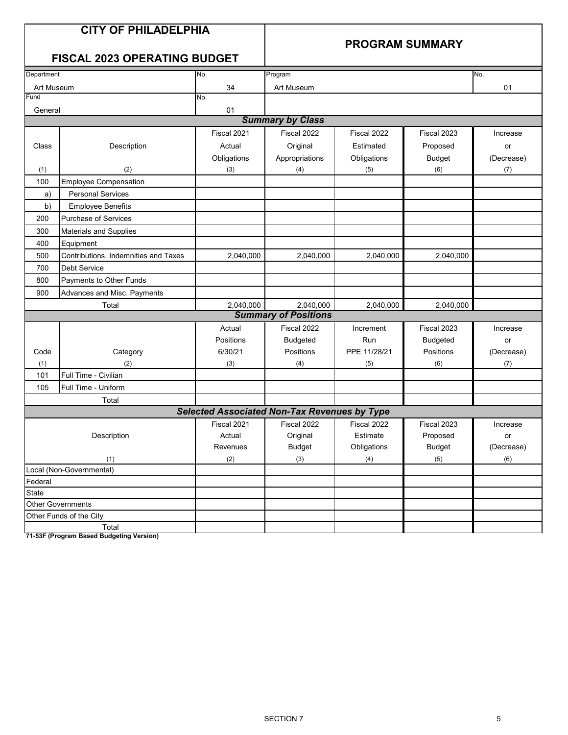#### **PROGRAM SUMMARY**

#### **FISCAL 2023 OPERATING BUDGET**

| Department         |                                      | No.                                                 | Program                 |              |                 | No.        |  |  |  |
|--------------------|--------------------------------------|-----------------------------------------------------|-------------------------|--------------|-----------------|------------|--|--|--|
| Art Museum         |                                      | 34                                                  | Art Museum              |              | 01              |            |  |  |  |
| Fund               |                                      | No.                                                 |                         |              |                 |            |  |  |  |
| General            |                                      | 01                                                  |                         |              |                 |            |  |  |  |
|                    |                                      |                                                     | <b>Summary by Class</b> |              |                 |            |  |  |  |
|                    |                                      | Fiscal 2021                                         | Fiscal 2022             | Fiscal 2022  | Fiscal 2023     | Increase   |  |  |  |
| Class              | Description                          | Actual                                              | Original                | Estimated    | Proposed        | or         |  |  |  |
|                    |                                      | Obligations                                         | Appropriations          | Obligations  | <b>Budget</b>   | (Decrease) |  |  |  |
| (1)                | (2)                                  | (3)                                                 | (4)                     | (5)          | (6)             | (7)        |  |  |  |
| 100                | <b>Employee Compensation</b>         |                                                     |                         |              |                 |            |  |  |  |
| a)                 | <b>Personal Services</b>             |                                                     |                         |              |                 |            |  |  |  |
| b)                 | <b>Employee Benefits</b>             |                                                     |                         |              |                 |            |  |  |  |
| 200                | <b>Purchase of Services</b>          |                                                     |                         |              |                 |            |  |  |  |
| 300                | <b>Materials and Supplies</b>        |                                                     |                         |              |                 |            |  |  |  |
| 400                | Equipment                            |                                                     |                         |              |                 |            |  |  |  |
| 500                | Contributions, Indemnities and Taxes | 2,040,000                                           | 2,040,000               | 2,040,000    | 2,040,000       |            |  |  |  |
| 700                | Debt Service                         |                                                     |                         |              |                 |            |  |  |  |
| 800                | Payments to Other Funds              |                                                     |                         |              |                 |            |  |  |  |
| 900                | Advances and Misc. Payments          |                                                     |                         |              |                 |            |  |  |  |
| 2,040,000<br>Total |                                      |                                                     | 2,040,000               | 2,040,000    | 2,040,000       |            |  |  |  |
|                    | <b>Summary of Positions</b>          |                                                     |                         |              |                 |            |  |  |  |
|                    |                                      | Actual                                              | Fiscal 2022             | Increment    | Fiscal 2023     | Increase   |  |  |  |
|                    |                                      | Positions                                           | <b>Budgeted</b>         | Run          | <b>Budgeted</b> | or         |  |  |  |
| Code               | Category                             | 6/30/21                                             | Positions               | PPE 11/28/21 | Positions       | (Decrease) |  |  |  |
| (1)                | (2)                                  | (3)                                                 | (4)                     | (5)          | (6)             | (7)        |  |  |  |
| 101                | Full Time - Civilian                 |                                                     |                         |              |                 |            |  |  |  |
| 105                | Full Time - Uniform                  |                                                     |                         |              |                 |            |  |  |  |
|                    | Total                                |                                                     |                         |              |                 |            |  |  |  |
|                    |                                      | <b>Selected Associated Non-Tax Revenues by Type</b> |                         |              |                 |            |  |  |  |
|                    |                                      | Fiscal 2021                                         | Fiscal 2022             | Fiscal 2022  | Fiscal 2023     | Increase   |  |  |  |
| Description        |                                      | Actual                                              | Original                | Estimate     | Proposed        | or         |  |  |  |
|                    |                                      | Revenues                                            | <b>Budget</b>           | Obligations  | <b>Budget</b>   | (Decrease) |  |  |  |
| (2)<br>(1)         |                                      |                                                     | (3)                     | (4)          | (5)             | (6)        |  |  |  |
|                    | Local (Non-Governmental)             |                                                     |                         |              |                 |            |  |  |  |
| Federal            |                                      |                                                     |                         |              |                 |            |  |  |  |
| <b>State</b>       |                                      |                                                     |                         |              |                 |            |  |  |  |
|                    | <b>Other Governments</b>             |                                                     |                         |              |                 |            |  |  |  |
|                    | Other Funds of the City              |                                                     |                         |              |                 |            |  |  |  |
| Total              |                                      |                                                     |                         |              |                 |            |  |  |  |

**71-53F (Program Based Budgeting Version)**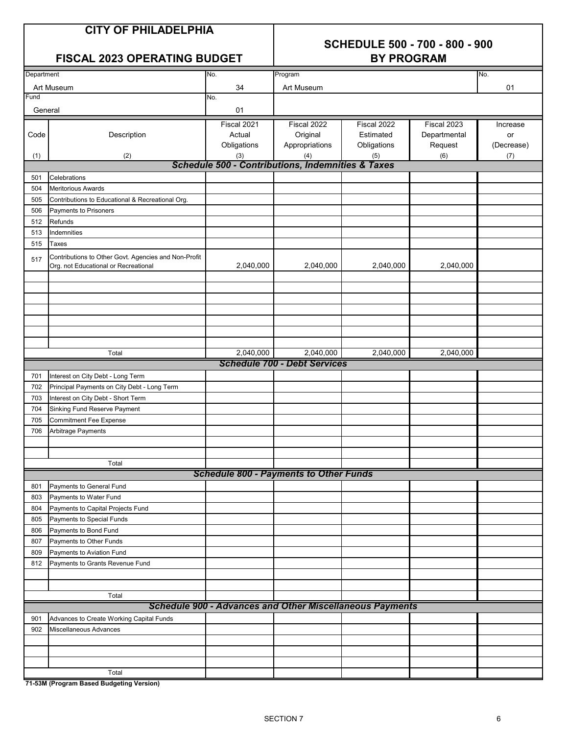# **SCHEDULE 500 - 700 - 800 - 900**

|            | FISCAL 2023 OPERATING BUDGET                                                                 | <b>BY PROGRAM</b> |                                                                 |             |              |            |  |
|------------|----------------------------------------------------------------------------------------------|-------------------|-----------------------------------------------------------------|-------------|--------------|------------|--|
| Department |                                                                                              | No.               | Program                                                         |             |              | No.        |  |
|            | Art Museum                                                                                   | 34                | Art Museum                                                      |             |              | 01         |  |
| Fund       |                                                                                              | No.               |                                                                 |             |              |            |  |
| General    |                                                                                              | 01                |                                                                 |             |              |            |  |
|            |                                                                                              | Fiscal 2021       | Fiscal 2022                                                     | Fiscal 2022 | Fiscal 2023  | Increase   |  |
| Code       | Description                                                                                  | Actual            | Original                                                        | Estimated   | Departmental | or         |  |
|            |                                                                                              | Obligations       | Appropriations                                                  | Obligations | Request      | (Decrease) |  |
| (1)        | (2)                                                                                          | (3)               | (4)                                                             | (5)         | (6)          | (7)        |  |
|            |                                                                                              |                   | <b>Schedule 500 - Contributions, Indemnities &amp; Taxes</b>    |             |              |            |  |
| 501        | Celebrations                                                                                 |                   |                                                                 |             |              |            |  |
| 504        | <b>Meritorious Awards</b>                                                                    |                   |                                                                 |             |              |            |  |
| 505        | Contributions to Educational & Recreational Org.                                             |                   |                                                                 |             |              |            |  |
| 506        | Payments to Prisoners                                                                        |                   |                                                                 |             |              |            |  |
| 512        | Refunds                                                                                      |                   |                                                                 |             |              |            |  |
| 513<br>515 | Indemnities<br>Taxes                                                                         |                   |                                                                 |             |              |            |  |
|            |                                                                                              |                   |                                                                 |             |              |            |  |
| 517        | Contributions to Other Govt. Agencies and Non-Profit<br>Org. not Educational or Recreational | 2,040,000         | 2,040,000                                                       | 2,040,000   | 2,040,000    |            |  |
|            |                                                                                              |                   |                                                                 |             |              |            |  |
|            |                                                                                              |                   |                                                                 |             |              |            |  |
|            |                                                                                              |                   |                                                                 |             |              |            |  |
|            |                                                                                              |                   |                                                                 |             |              |            |  |
|            |                                                                                              |                   |                                                                 |             |              |            |  |
|            |                                                                                              |                   |                                                                 |             |              |            |  |
|            |                                                                                              |                   |                                                                 |             |              |            |  |
|            | Total                                                                                        | 2,040,000         | 2,040,000                                                       | 2,040,000   | 2,040,000    |            |  |
|            |                                                                                              |                   | <b>Schedule 700 - Debt Services</b>                             |             |              |            |  |
| 701        | Interest on City Debt - Long Term                                                            |                   |                                                                 |             |              |            |  |
| 702        | Principal Payments on City Debt - Long Term                                                  |                   |                                                                 |             |              |            |  |
| 703        | Interest on City Debt - Short Term                                                           |                   |                                                                 |             |              |            |  |
| 704        | Sinking Fund Reserve Payment                                                                 |                   |                                                                 |             |              |            |  |
| 705        | <b>Commitment Fee Expense</b>                                                                |                   |                                                                 |             |              |            |  |
| 706        | Arbitrage Payments                                                                           |                   |                                                                 |             |              |            |  |
|            |                                                                                              |                   |                                                                 |             |              |            |  |
|            |                                                                                              |                   |                                                                 |             |              |            |  |
|            | Total                                                                                        |                   |                                                                 |             |              |            |  |
|            |                                                                                              |                   | <b>Schedule 800 - Payments to Other Funds</b>                   |             |              |            |  |
| 801        | Payments to General Fund                                                                     |                   |                                                                 |             |              |            |  |
| 803        | Payments to Water Fund                                                                       |                   |                                                                 |             |              |            |  |
| 804        | Payments to Capital Projects Fund                                                            |                   |                                                                 |             |              |            |  |
| 805        | Payments to Special Funds                                                                    |                   |                                                                 |             |              |            |  |
| 806        | Payments to Bond Fund                                                                        |                   |                                                                 |             |              |            |  |
| 807        | Payments to Other Funds                                                                      |                   |                                                                 |             |              |            |  |
| 809<br>812 | Payments to Aviation Fund<br>Payments to Grants Revenue Fund                                 |                   |                                                                 |             |              |            |  |
|            |                                                                                              |                   |                                                                 |             |              |            |  |
|            |                                                                                              |                   |                                                                 |             |              |            |  |
|            | Total                                                                                        |                   |                                                                 |             |              |            |  |
|            |                                                                                              |                   | <b>Schedule 900 - Advances and Other Miscellaneous Payments</b> |             |              |            |  |
| 901        | Advances to Create Working Capital Funds                                                     |                   |                                                                 |             |              |            |  |
| 902        | Miscellaneous Advances                                                                       |                   |                                                                 |             |              |            |  |
|            |                                                                                              |                   |                                                                 |             |              |            |  |
|            |                                                                                              |                   |                                                                 |             |              |            |  |
|            |                                                                                              |                   |                                                                 |             |              |            |  |
|            | Total                                                                                        |                   |                                                                 |             |              |            |  |
|            | 71-53M (Program Based Budgeting Version)                                                     |                   |                                                                 |             |              |            |  |